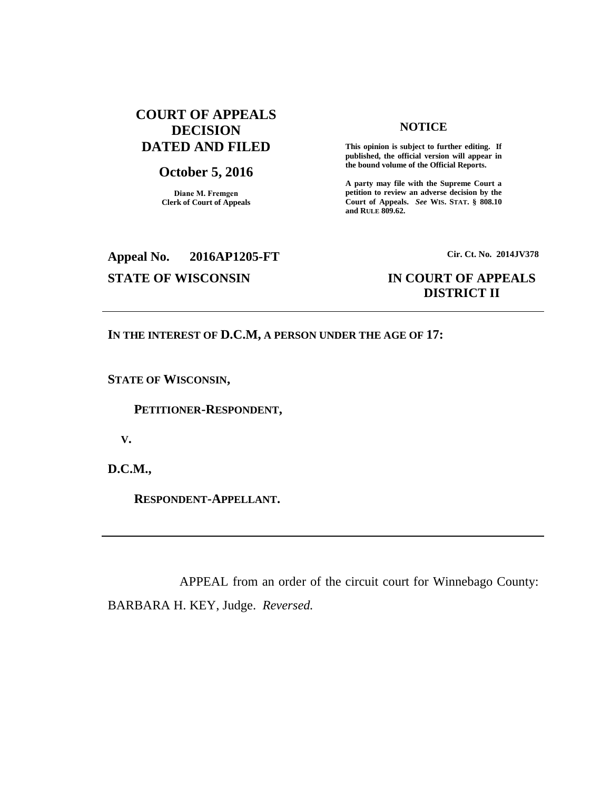## **COURT OF APPEALS DECISION DATED AND FILED**

# **October 5, 2016**

**Diane M. Fremgen Clerk of Court of Appeals**

### **NOTICE**

**This opinion is subject to further editing. If published, the official version will appear in the bound volume of the Official Reports.** 

**A party may file with the Supreme Court a petition to review an adverse decision by the Court of Appeals.** *See* **WIS. STAT. § 808.10 and RULE 809.62.** 

## **Appeal No. 2016AP1205-FT Cir. Ct. No. 2014JV378**

### **STATE OF WISCONSIN IN COURT OF APPEALS DISTRICT II**

### **IN THE INTEREST OF D.C.M, A PERSON UNDER THE AGE OF 17:**

**STATE OF WISCONSIN,**

 **PETITIONER-RESPONDENT,**

 **V.**

**D.C.M.,**

 **RESPONDENT-APPELLANT.**

APPEAL from an order of the circuit court for Winnebago County: BARBARA H. KEY, Judge. *Reversed.*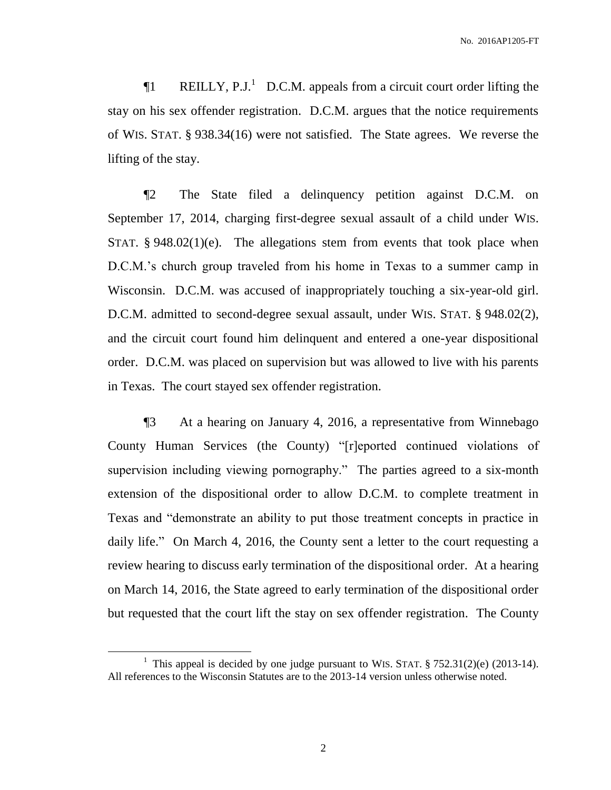**The REILLY, P.J.**<sup>1</sup> D.C.M. appeals from a circuit court order lifting the stay on his sex offender registration. D.C.M. argues that the notice requirements of WIS. STAT. § 938.34(16) were not satisfied. The State agrees. We reverse the lifting of the stay.

¶2 The State filed a delinquency petition against D.C.M. on September 17, 2014, charging first-degree sexual assault of a child under WIS. STAT.  $§ 948.02(1)(e)$ . The allegations stem from events that took place when D.C.M.'s church group traveled from his home in Texas to a summer camp in Wisconsin. D.C.M. was accused of inappropriately touching a six-year-old girl. D.C.M. admitted to second-degree sexual assault, under WIS. STAT. § 948.02(2), and the circuit court found him delinquent and entered a one-year dispositional order. D.C.M. was placed on supervision but was allowed to live with his parents in Texas. The court stayed sex offender registration.

¶3 At a hearing on January 4, 2016, a representative from Winnebago County Human Services (the County) "[r]eported continued violations of supervision including viewing pornography." The parties agreed to a six-month extension of the dispositional order to allow D.C.M. to complete treatment in Texas and "demonstrate an ability to put those treatment concepts in practice in daily life." On March 4, 2016, the County sent a letter to the court requesting a review hearing to discuss early termination of the dispositional order. At a hearing on March 14, 2016, the State agreed to early termination of the dispositional order but requested that the court lift the stay on sex offender registration. The County

 $\overline{a}$ 

<sup>&</sup>lt;sup>1</sup> This appeal is decided by one judge pursuant to WIS. STAT.  $\S 752.31(2)(e)$  (2013-14). All references to the Wisconsin Statutes are to the 2013-14 version unless otherwise noted.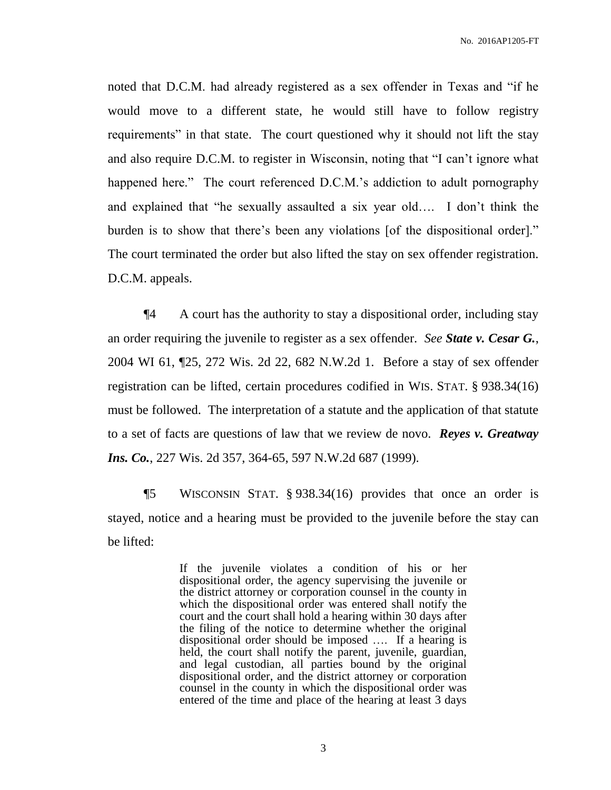noted that D.C.M. had already registered as a sex offender in Texas and "if he would move to a different state, he would still have to follow registry requirements" in that state. The court questioned why it should not lift the stay and also require D.C.M. to register in Wisconsin, noting that "I can't ignore what happened here." The court referenced D.C.M.'s addiction to adult pornography and explained that "he sexually assaulted a six year old…. I don't think the burden is to show that there's been any violations [of the dispositional order]." The court terminated the order but also lifted the stay on sex offender registration. D.C.M. appeals.

¶4 A court has the authority to stay a dispositional order, including stay an order requiring the juvenile to register as a sex offender. *See State v. Cesar G.*, 2004 WI 61, ¶25, 272 Wis. 2d 22, 682 N.W.2d 1. Before a stay of sex offender registration can be lifted, certain procedures codified in WIS. STAT. § 938.34(16) must be followed. The interpretation of a statute and the application of that statute to a set of facts are questions of law that we review de novo. *Reyes v. Greatway Ins. Co.*, 227 Wis. 2d 357, 364-65, 597 N.W.2d 687 (1999).

¶5 WISCONSIN STAT. § 938.34(16) provides that once an order is stayed, notice and a hearing must be provided to the juvenile before the stay can be lifted:

> If the juvenile violates a condition of his or her dispositional order, the agency supervising the juvenile or the district attorney or corporation counsel in the county in which the dispositional order was entered shall notify the court and the court shall hold a hearing within 30 days after the filing of the notice to determine whether the original dispositional order should be imposed …. If a hearing is held, the court shall notify the parent, juvenile, guardian, and legal custodian, all parties bound by the original dispositional order, and the district attorney or corporation counsel in the county in which the dispositional order was entered of the time and place of the hearing at least 3 days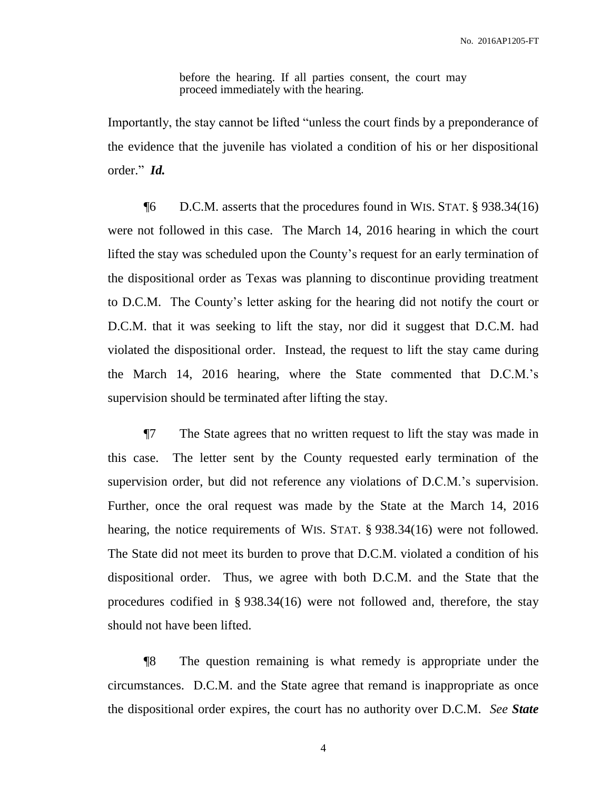before the hearing. If all parties consent, the court may proceed immediately with the hearing.

Importantly, the stay cannot be lifted "unless the court finds by a preponderance of the evidence that the juvenile has violated a condition of his or her dispositional order." *Id.*

¶6 D.C.M. asserts that the procedures found in WIS. STAT. § 938.34(16) were not followed in this case. The March 14, 2016 hearing in which the court lifted the stay was scheduled upon the County's request for an early termination of the dispositional order as Texas was planning to discontinue providing treatment to D.C.M. The County's letter asking for the hearing did not notify the court or D.C.M. that it was seeking to lift the stay, nor did it suggest that D.C.M. had violated the dispositional order. Instead, the request to lift the stay came during the March 14, 2016 hearing, where the State commented that D.C.M.'s supervision should be terminated after lifting the stay.

¶7 The State agrees that no written request to lift the stay was made in this case. The letter sent by the County requested early termination of the supervision order, but did not reference any violations of D.C.M.'s supervision. Further, once the oral request was made by the State at the March 14, 2016 hearing, the notice requirements of WIS. STAT. § 938.34(16) were not followed. The State did not meet its burden to prove that D.C.M. violated a condition of his dispositional order. Thus, we agree with both D.C.M. and the State that the procedures codified in § 938.34(16) were not followed and, therefore, the stay should not have been lifted.

¶8 The question remaining is what remedy is appropriate under the circumstances. D.C.M. and the State agree that remand is inappropriate as once the dispositional order expires, the court has no authority over D.C.M. *See State*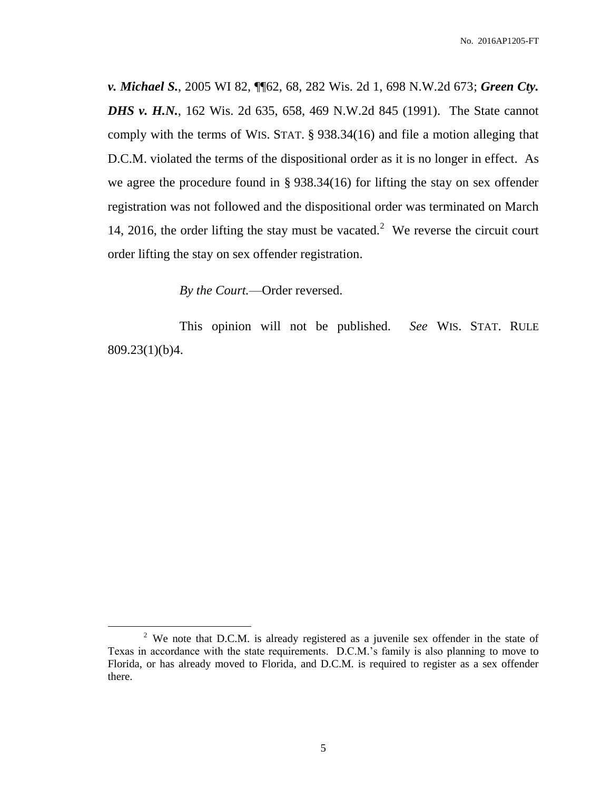*v. Michael S.*, 2005 WI 82, ¶¶62, 68, 282 Wis. 2d 1, 698 N.W.2d 673; *Green Cty. DHS v. H.N.*, 162 Wis. 2d 635, 658, 469 N.W.2d 845 (1991). The State cannot comply with the terms of WIS. STAT. § 938.34(16) and file a motion alleging that D.C.M. violated the terms of the dispositional order as it is no longer in effect. As we agree the procedure found in § 938.34(16) for lifting the stay on sex offender registration was not followed and the dispositional order was terminated on March 14, 2016, the order lifting the stay must be vacated.<sup>2</sup> We reverse the circuit court order lifting the stay on sex offender registration.

*By the Court.*—Order reversed.

 $\overline{a}$ 

This opinion will not be published. *See* WIS. STAT. RULE 809.23(1)(b)4.

<sup>&</sup>lt;sup>2</sup> We note that D.C.M. is already registered as a juvenile sex offender in the state of Texas in accordance with the state requirements. D.C.M.'s family is also planning to move to Florida, or has already moved to Florida, and D.C.M. is required to register as a sex offender there.